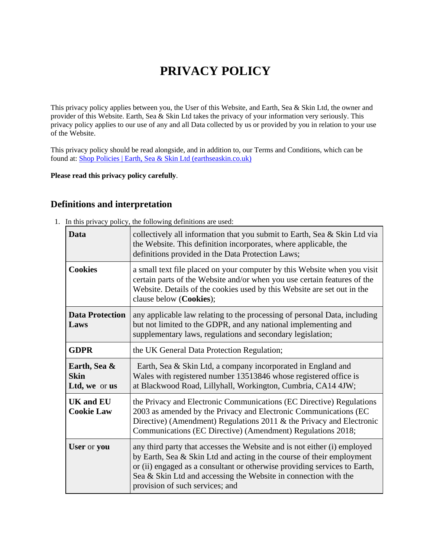# **PRIVACY POLICY**

This privacy policy applies between you, the User of this Website, and Earth, Sea & Skin Ltd, the owner and provider of this Website. Earth, Sea & Skin Ltd takes the privacy of your information very seriously. This privacy policy applies to our use of any and all Data collected by us or provided by you in relation to your use of the Website.

This privacy policy should be read alongside, and in addition to, our Terms and Conditions, which can be found at: [Shop Policies | Earth, Sea & Skin Ltd \(earthseaskin.co.uk\)](https://www.earthseaskin.co.uk/shop-policies)

#### **Please read this privacy policy carefully**.

### **Definitions and interpretation**

1. In this privacy policy, the following definitions are used:

| Data                                         | collectively all information that you submit to Earth, Sea & Skin Ltd via<br>the Website. This definition incorporates, where applicable, the<br>definitions provided in the Data Protection Laws;                                                                                                                                   |
|----------------------------------------------|--------------------------------------------------------------------------------------------------------------------------------------------------------------------------------------------------------------------------------------------------------------------------------------------------------------------------------------|
| <b>Cookies</b>                               | a small text file placed on your computer by this Website when you visit<br>certain parts of the Website and/or when you use certain features of the<br>Website. Details of the cookies used by this Website are set out in the<br>clause below (Cookies);                                                                           |
| <b>Data Protection</b><br>Laws               | any applicable law relating to the processing of personal Data, including<br>but not limited to the GDPR, and any national implementing and<br>supplementary laws, regulations and secondary legislation;                                                                                                                            |
| <b>GDPR</b>                                  | the UK General Data Protection Regulation;                                                                                                                                                                                                                                                                                           |
| Earth, Sea &<br><b>Skin</b><br>Ltd, we or us | Earth, Sea & Skin Ltd, a company incorporated in England and<br>Wales with registered number 13513846 whose registered office is<br>at Blackwood Road, Lillyhall, Workington, Cumbria, CA14 4JW;                                                                                                                                     |
| <b>UK and EU</b><br><b>Cookie Law</b>        | the Privacy and Electronic Communications (EC Directive) Regulations<br>2003 as amended by the Privacy and Electronic Communications (EC<br>Directive) (Amendment) Regulations $2011 \&$ the Privacy and Electronic<br>Communications (EC Directive) (Amendment) Regulations 2018;                                                   |
| User or you                                  | any third party that accesses the Website and is not either (i) employed<br>by Earth, Sea & Skin Ltd and acting in the course of their employment<br>or (ii) engaged as a consultant or otherwise providing services to Earth,<br>Sea & Skin Ltd and accessing the Website in connection with the<br>provision of such services; and |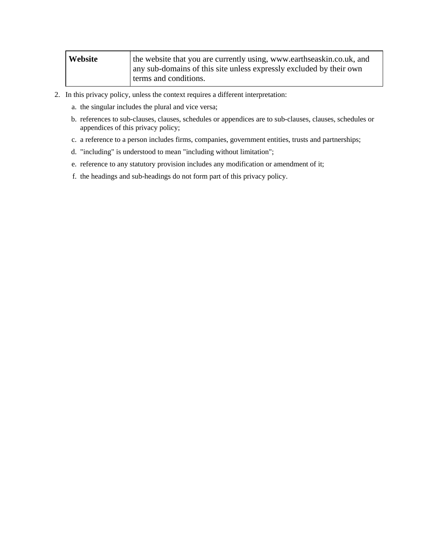| Website | the website that you are currently using, www.earthseaskin.co.uk, and<br>any sub-domains of this site unless expressly excluded by their own |
|---------|----------------------------------------------------------------------------------------------------------------------------------------------|
|         | terms and conditions.                                                                                                                        |

- 2. In this privacy policy, unless the context requires a different interpretation:
	- a. the singular includes the plural and vice versa;
	- b. references to sub-clauses, clauses, schedules or appendices are to sub-clauses, clauses, schedules or appendices of this privacy policy;
	- c. a reference to a person includes firms, companies, government entities, trusts and partnerships;
	- d. "including" is understood to mean "including without limitation";
	- e. reference to any statutory provision includes any modification or amendment of it;
	- f. the headings and sub-headings do not form part of this privacy policy.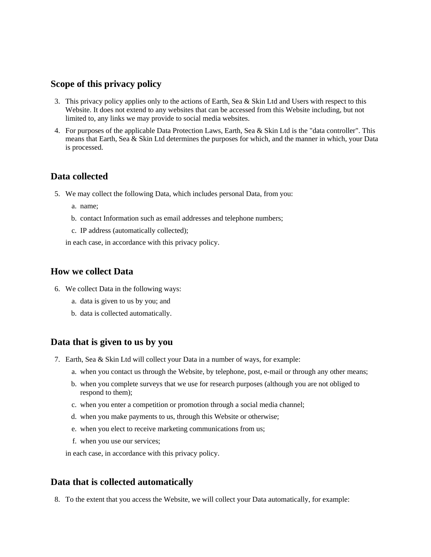### **Scope of this privacy policy**

- 3. This privacy policy applies only to the actions of Earth, Sea & Skin Ltd and Users with respect to this Website. It does not extend to any websites that can be accessed from this Website including, but not limited to, any links we may provide to social media websites.
- 4. For purposes of the applicable Data Protection Laws, Earth, Sea & Skin Ltd is the "data controller". This means that Earth, Sea & Skin Ltd determines the purposes for which, and the manner in which, your Data is processed.

### **Data collected**

- 5. We may collect the following Data, which includes personal Data, from you:
	- a. name;
	- b. contact Information such as email addresses and telephone numbers;
	- c. IP address (automatically collected);

in each case, in accordance with this privacy policy.

#### **How we collect Data**

- 6. We collect Data in the following ways:
	- a. data is given to us by you; and
	- b. data is collected automatically.

#### **Data that is given to us by you**

- 7. Earth, Sea & Skin Ltd will collect your Data in a number of ways, for example:
	- a. when you contact us through the Website, by telephone, post, e-mail or through any other means;
	- b. when you complete surveys that we use for research purposes (although you are not obliged to respond to them);
	- c. when you enter a competition or promotion through a social media channel;
	- d. when you make payments to us, through this Website or otherwise;
	- e. when you elect to receive marketing communications from us;
	- f. when you use our services;

in each case, in accordance with this privacy policy.

#### **Data that is collected automatically**

8. To the extent that you access the Website, we will collect your Data automatically, for example: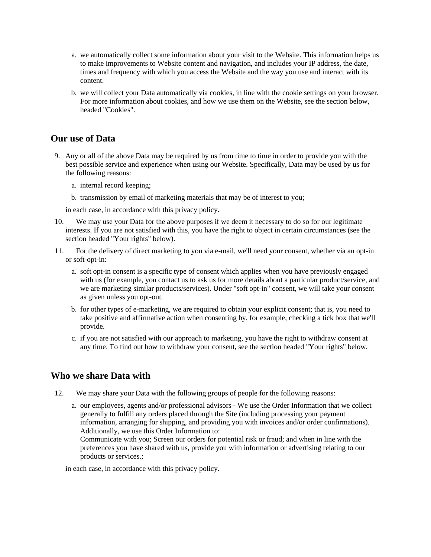- a. we automatically collect some information about your visit to the Website. This information helps us to make improvements to Website content and navigation, and includes your IP address, the date, times and frequency with which you access the Website and the way you use and interact with its content.
- b. we will collect your Data automatically via cookies, in line with the cookie settings on your browser. For more information about cookies, and how we use them on the Website, see the section below, headed "Cookies".

### **Our use of Data**

- 9. Any or all of the above Data may be required by us from time to time in order to provide you with the best possible service and experience when using our Website. Specifically, Data may be used by us for the following reasons:
	- a. internal record keeping;
	- b. transmission by email of marketing materials that may be of interest to you;

in each case, in accordance with this privacy policy.

- 10. We may use your Data for the above purposes if we deem it necessary to do so for our legitimate interests. If you are not satisfied with this, you have the right to object in certain circumstances (see the section headed "Your rights" below).
- 11. For the delivery of direct marketing to you via e-mail, we'll need your consent, whether via an opt-in or soft-opt-in:
	- a. soft opt-in consent is a specific type of consent which applies when you have previously engaged with us (for example, you contact us to ask us for more details about a particular product/service, and we are marketing similar products/services). Under "soft opt-in" consent, we will take your consent as given unless you opt-out.
	- b. for other types of e-marketing, we are required to obtain your explicit consent; that is, you need to take positive and affirmative action when consenting by, for example, checking a tick box that we'll provide.
	- c. if you are not satisfied with our approach to marketing, you have the right to withdraw consent at any time. To find out how to withdraw your consent, see the section headed "Your rights" below.

#### **Who we share Data with**

12. We may share your Data with the following groups of people for the following reasons:

a. our employees, agents and/or professional advisors - We use the Order Information that we collect generally to fulfill any orders placed through the Site (including processing your payment information, arranging for shipping, and providing you with invoices and/or order confirmations). Additionally, we use this Order Information to:

Communicate with you; Screen our orders for potential risk or fraud; and when in line with the preferences you have shared with us, provide you with information or advertising relating to our products or services.;

in each case, in accordance with this privacy policy.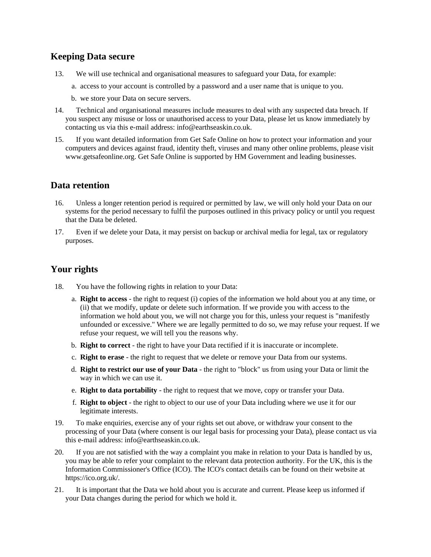# **Keeping Data secure**

- 13. We will use technical and organisational measures to safeguard your Data, for example:
	- a. access to your account is controlled by a password and a user name that is unique to you.
	- b. we store your Data on secure servers.
- 14. Technical and organisational measures include measures to deal with any suspected data breach. If you suspect any misuse or loss or unauthorised access to your Data, please let us know immediately by contacting us via this e-mail address: info@earthseaskin.co.uk.
- 15. If you want detailed information from Get Safe Online on how to protect your information and your computers and devices against fraud, identity theft, viruses and many other online problems, please visit www.getsafeonline.org. Get Safe Online is supported by HM Government and leading businesses.

### **Data retention**

- 16. Unless a longer retention period is required or permitted by law, we will only hold your Data on our systems for the period necessary to fulfil the purposes outlined in this privacy policy or until you request that the Data be deleted.
- 17. Even if we delete your Data, it may persist on backup or archival media for legal, tax or regulatory purposes.

# **Your rights**

- 18. You have the following rights in relation to your Data:
	- a. **Right to access** the right to request (i) copies of the information we hold about you at any time, or (ii) that we modify, update or delete such information. If we provide you with access to the information we hold about you, we will not charge you for this, unless your request is "manifestly unfounded or excessive." Where we are legally permitted to do so, we may refuse your request. If we refuse your request, we will tell you the reasons why.
	- b. **Right to correct** the right to have your Data rectified if it is inaccurate or incomplete.
	- c. **Right to erase** the right to request that we delete or remove your Data from our systems.
	- d. **Right to restrict our use of your Data** the right to "block" us from using your Data or limit the way in which we can use it.
	- e. **Right to data portability** the right to request that we move, copy or transfer your Data.
	- f. **Right to object** the right to object to our use of your Data including where we use it for our legitimate interests.
- 19. To make enquiries, exercise any of your rights set out above, or withdraw your consent to the processing of your Data (where consent is our legal basis for processing your Data), please contact us via this e-mail address: info@earthseaskin.co.uk.
- 20. If you are not satisfied with the way a complaint you make in relation to your Data is handled by us, you may be able to refer your complaint to the relevant data protection authority. For the UK, this is the Information Commissioner's Office (ICO). The ICO's contact details can be found on their website at https://ico.org.uk/.
- 21. It is important that the Data we hold about you is accurate and current. Please keep us informed if your Data changes during the period for which we hold it.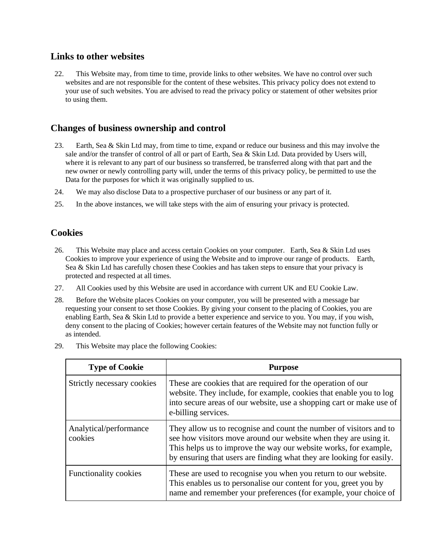### **Links to other websites**

22. This Website may, from time to time, provide links to other websites. We have no control over such websites and are not responsible for the content of these websites. This privacy policy does not extend to your use of such websites. You are advised to read the privacy policy or statement of other websites prior to using them.

# **Changes of business ownership and control**

- 23. Earth, Sea & Skin Ltd may, from time to time, expand or reduce our business and this may involve the sale and/or the transfer of control of all or part of Earth, Sea & Skin Ltd. Data provided by Users will, where it is relevant to any part of our business so transferred, be transferred along with that part and the new owner or newly controlling party will, under the terms of this privacy policy, be permitted to use the Data for the purposes for which it was originally supplied to us.
- 24. We may also disclose Data to a prospective purchaser of our business or any part of it.
- 25. In the above instances, we will take steps with the aim of ensuring your privacy is protected.

### **Cookies**

- 26. This Website may place and access certain Cookies on your computer. Earth, Sea & Skin Ltd uses Cookies to improve your experience of using the Website and to improve our range of products. Earth, Sea & Skin Ltd has carefully chosen these Cookies and has taken steps to ensure that your privacy is protected and respected at all times.
- 27. All Cookies used by this Website are used in accordance with current UK and EU Cookie Law.
- 28. Before the Website places Cookies on your computer, you will be presented with a message bar requesting your consent to set those Cookies. By giving your consent to the placing of Cookies, you are enabling Earth, Sea & Skin Ltd to provide a better experience and service to you. You may, if you wish, deny consent to the placing of Cookies; however certain features of the Website may not function fully or as intended.
- 29. This Website may place the following Cookies:

| <b>Type of Cookie</b>             | <b>Purpose</b>                                                                                                                                                                                                                                                                     |
|-----------------------------------|------------------------------------------------------------------------------------------------------------------------------------------------------------------------------------------------------------------------------------------------------------------------------------|
| Strictly necessary cookies        | These are cookies that are required for the operation of our<br>website. They include, for example, cookies that enable you to log<br>into secure areas of our website, use a shopping cart or make use of<br>e-billing services.                                                  |
| Analytical/performance<br>cookies | They allow us to recognise and count the number of visitors and to<br>see how visitors move around our website when they are using it.<br>This helps us to improve the way our website works, for example,<br>by ensuring that users are finding what they are looking for easily. |
| Functionality cookies             | These are used to recognise you when you return to our website.<br>This enables us to personalise our content for you, greet you by<br>name and remember your preferences (for example, your choice of                                                                             |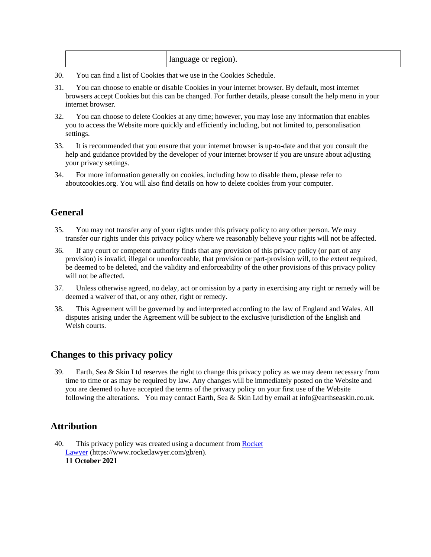- 30. You can find a list of Cookies that we use in the Cookies Schedule.
- 31. You can choose to enable or disable Cookies in your internet browser. By default, most internet browsers accept Cookies but this can be changed. For further details, please consult the help menu in your internet browser.
- 32. You can choose to delete Cookies at any time; however, you may lose any information that enables you to access the Website more quickly and efficiently including, but not limited to, personalisation settings.
- 33. It is recommended that you ensure that your internet browser is up-to-date and that you consult the help and guidance provided by the developer of your internet browser if you are unsure about adjusting your privacy settings.
- 34. For more information generally on cookies, including how to disable them, please refer to aboutcookies.org. You will also find details on how to delete cookies from your computer.

# **General**

- 35. You may not transfer any of your rights under this privacy policy to any other person. We may transfer our rights under this privacy policy where we reasonably believe your rights will not be affected.
- 36. If any court or competent authority finds that any provision of this privacy policy (or part of any provision) is invalid, illegal or unenforceable, that provision or part-provision will, to the extent required, be deemed to be deleted, and the validity and enforceability of the other provisions of this privacy policy will not be affected.
- 37. Unless otherwise agreed, no delay, act or omission by a party in exercising any right or remedy will be deemed a waiver of that, or any other, right or remedy.
- 38. This Agreement will be governed by and interpreted according to the law of England and Wales. All disputes arising under the Agreement will be subject to the exclusive jurisdiction of the English and Welsh courts.

# **Changes to this privacy policy**

39. Earth, Sea & Skin Ltd reserves the right to change this privacy policy as we may deem necessary from time to time or as may be required by law. Any changes will be immediately posted on the Website and you are deemed to have accepted the terms of the privacy policy on your first use of the Website following the alterations. You may contact Earth, Sea & Skin Ltd by email at info@earthseaskin.co.uk.

# **Attribution**

40. This privacy policy was created using a document from Rocket [Lawyer](https://www.rocketlawyer.com/gb/en/) (https://www.rocketlawyer.com/gb/en). **11 October 2021**